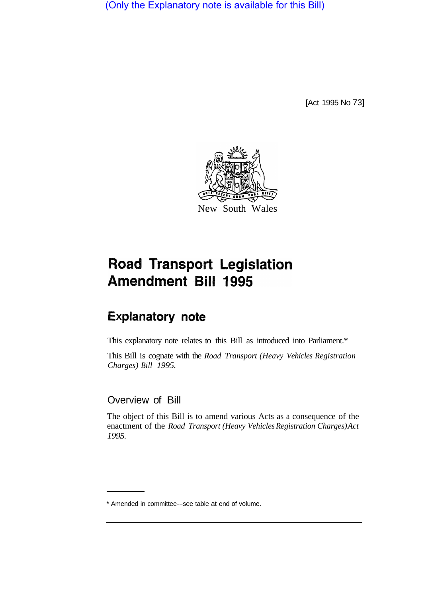(Only the Explanatory note is available for this Bill)

[Act 1995 No 73]



# **Road Transport Legislation** Amendment Bill 1995

## **Explanatory note**

This explanatory note relates to this Bill as introduced into Parliament.\*

This Bill is cognate with the *Road Transport (Heavy Vehicles Registration Charges) Bill 1995.* 

## Overview of Bill

The object of this Bill is to amend various Acts as a consequence of the enactment of the *Road Transport (Heavy Vehicles Registration Charges) Act 1995.*

<sup>\*</sup> Amended in committee--see table at end of volume.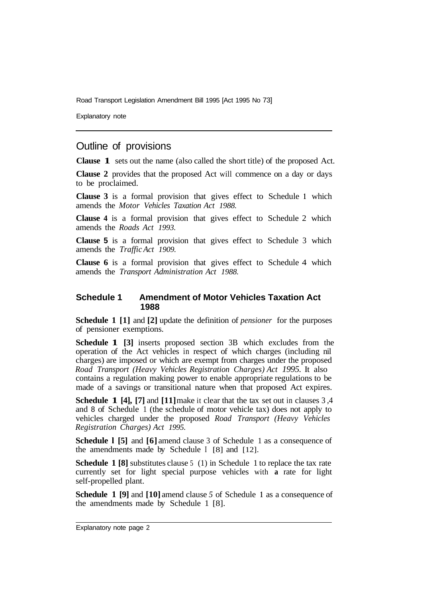Road Transport Legislation Amendment Bill 1995 [Act 1995 No 73]

Explanatory note

## Outline of provisions

**Clause 1** sets out the name (also called the short title) of the proposed Act.

**Clause 2** provides that the proposed Act will commence on a day or days to be proclaimed.

**Clause 3** is a formal provision that gives effect to Schedule **1** which amends the *Motor Vehicles Taxation Act 1988.* 

**Clause 4** is a formal provision that gives effect to Schedule 2 which amends the *Roads Act 1993.* 

**Clause 5** is a formal provision that gives effect to Schedule 3 which amends the *Traffic Act 1909.*

**Clause 6** is a formal provision that gives effect to Schedule 4 which amends the *Transport Administration Act 1988.* 

#### **Schedule 1 Amendment of Motor Vehicles Taxation Act 1988**

**Schedule 1 [1]** and **[2]** update the definition of *pensioner* for the purposes of pensioner exemptions.

**Schedule 1 [3]** inserts proposed section 3B which excludes from the operation of the Act vehicles in respect of which charges (including nil charges) are imposed or which are exempt from charges under the proposed *Road Transport (Heavy Vehicles Registration Charges) Act 1995.* It also contains a regulation making power to enable appropriate regulations to be made of a savings or transitional nature when that proposed Act expires.

**Schedule 1 [4], [7]** and **[11]**make it clear that the tax set out in clauses 3, 4 and 8 of Schedule 1 (the schedule of motor vehicle tax) does not apply to vehicles charged under the proposed *Road Transport (Heavy Vehicles Registration Charges) Act 1995.*

**Schedule l [5]** and **[6]** amend clause 3 of Schedule 1 as a consequence of the amendments made by Schedule I [8] and [12].

**Schedule 1 [8]** substitutes clause 5 (1) in Schedule 1 to replace the tax rate currently set for light special purpose vehicles with **a** rate for light self-propelled plant.

**Schedule 1 [9]** and **[10]** amend clause *5* of Schedule **1** as a consequence of the amendments made by Schedule 1 [8].

Explanatory note page 2